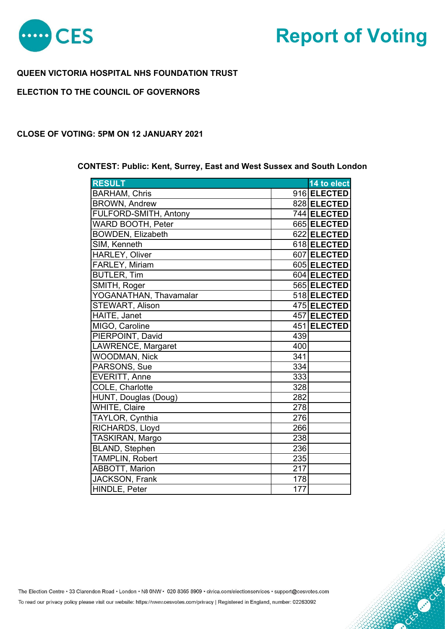

# **Report of Voting**

**CONSTRUCTION** 

# **QUEEN VICTORIA HOSPITAL NHS FOUNDATION TRUST**

# **ELECTION TO THE COUNCIL OF GOVERNORS**

#### **CLOSE OF VOTING: 5PM ON 12 JANUARY 2021**

## **CONTEST: Public: Kent, Surrey, East and West Sussex and South London**

| <b>RESULT</b>            |     | 14 to elect |
|--------------------------|-----|-------------|
| <b>BARHAM, Chris</b>     |     | 916 ELECTED |
| <b>BROWN, Andrew</b>     |     | 828 ELECTED |
| FULFORD-SMITH, Antony    |     | 744 ELECTED |
| <b>WARD BOOTH, Peter</b> |     | 665 ELECTED |
| <b>BOWDEN, Elizabeth</b> |     | 622 ELECTED |
| SIM, Kenneth             |     | 618 ELECTED |
| <b>HARLEY, Oliver</b>    |     | 607 ELECTED |
| FARLEY, Miriam           |     | 605 ELECTED |
| <b>BUTLER, Tim</b>       |     | 604 ELECTED |
| SMITH, Roger             |     | 565 ELECTED |
| YOGANATHAN, Thavamalar   |     | 518 ELECTED |
| STEWART, Alison          |     | 475 ELECTED |
| HAITE, Janet             |     | 457 ELECTED |
| MIGO, Caroline           |     | 451 ELECTED |
| PIERPOINT, David         | 439 |             |
| LAWRENCE, Margaret       | 400 |             |
| <b>WOODMAN, Nick</b>     | 341 |             |
| PARSONS, Sue             | 334 |             |
| <b>EVERITT, Anne</b>     | 333 |             |
| COLE, Charlotte          | 328 |             |
| HUNT, Douglas (Doug)     | 282 |             |
| <b>WHITE, Claire</b>     | 278 |             |
| TAYLOR, Cynthia          | 276 |             |
| RICHARDS, Lloyd          | 266 |             |
| TASKIRAN, Margo          | 238 |             |
| <b>BLAND, Stephen</b>    | 236 |             |
| <b>TAMPLIN, Robert</b>   | 235 |             |
| <b>ABBOTT, Marion</b>    | 217 |             |
| <b>JACKSON, Frank</b>    | 178 |             |
| HINDLE, Peter            | 177 |             |

The Election Centre · 33 Clarendon Road · London · N8 0NW · 020 8365 8909 · civica.com/electionservices · support@cesvotes.com

To read our privacy policy please visit our website: https://www.cesvotes.com/privacy | Registered in England, number: 02263092